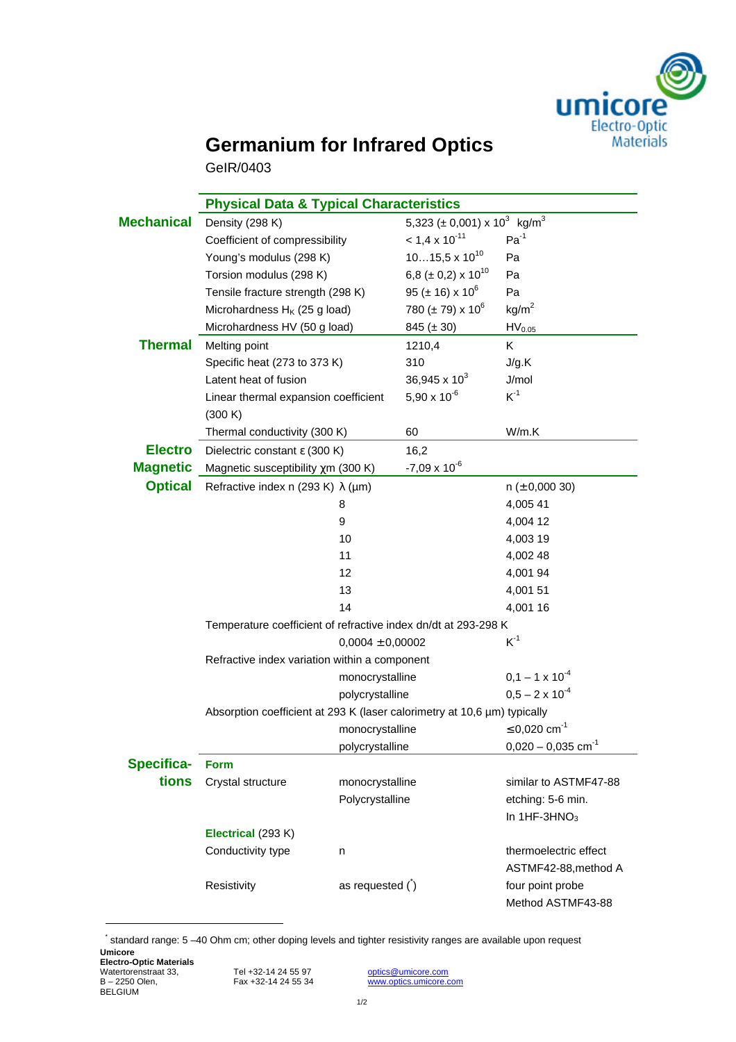

## **Germanium for Infrared Optics**

GeIR/0403

|                   | <b>Physical Data &amp; Typical Characteristics</b>                       |                      |                                                          |                                       |  |  |  |  |
|-------------------|--------------------------------------------------------------------------|----------------------|----------------------------------------------------------|---------------------------------------|--|--|--|--|
| <b>Mechanical</b> | Density (298 K)                                                          |                      | 5,323 ( $\pm$ 0,001) x 10 <sup>3</sup> kg/m <sup>3</sup> |                                       |  |  |  |  |
|                   | Coefficient of compressibility                                           |                      | $< 1.4 \times 10^{-11}$                                  | $Pa^{-1}$                             |  |  |  |  |
|                   | Young's modulus (298 K)                                                  |                      | $1015,5 \times 10^{10}$                                  | Pa                                    |  |  |  |  |
|                   | Torsion modulus (298 K)                                                  |                      | 6,8 ( $\pm$ 0,2) x 10 <sup>10</sup>                      | Pa                                    |  |  |  |  |
|                   | Tensile fracture strength (298 K)                                        |                      | 95 ( $\pm$ 16) x 10 <sup>6</sup>                         | Pa                                    |  |  |  |  |
|                   | Microhardness H <sub>K</sub> (25 g load)                                 |                      | 780 ( $\pm$ 79) x 10 <sup>6</sup>                        | kg/m <sup>2</sup>                     |  |  |  |  |
|                   | Microhardness HV (50 g load)                                             |                      | 845 $(\pm 30)$                                           | HV <sub>0.05</sub>                    |  |  |  |  |
| <b>Thermal</b>    | Melting point                                                            |                      | 1210,4                                                   | Κ                                     |  |  |  |  |
|                   | Specific heat (273 to 373 K)                                             |                      | 310                                                      | J/g.K                                 |  |  |  |  |
|                   | Latent heat of fusion                                                    |                      | 36,945 x $10^3$                                          | J/mol                                 |  |  |  |  |
|                   | Linear thermal expansion coefficient                                     |                      | 5,90 x $10^{-6}$                                         | $K^{-1}$                              |  |  |  |  |
|                   | (300 K)                                                                  |                      |                                                          |                                       |  |  |  |  |
|                   | Thermal conductivity (300 K)                                             |                      | 60                                                       | W/m.K                                 |  |  |  |  |
| <b>Electro</b>    | Dielectric constant $\epsilon$ (300 K)                                   |                      | 16,2                                                     |                                       |  |  |  |  |
| <b>Magnetic</b>   | Magnetic susceptibility $\chi$ m (300 K)                                 |                      | $-7,09 \times 10^{-6}$                                   |                                       |  |  |  |  |
| <b>Optical</b>    | Refractive index n (293 K) $\lambda$ (µm)                                |                      |                                                          | $n (\pm 0,000 30)$                    |  |  |  |  |
|                   |                                                                          | 8                    |                                                          | 4,005 41                              |  |  |  |  |
|                   | 9                                                                        |                      |                                                          | 4,004 12                              |  |  |  |  |
|                   |                                                                          | 10                   |                                                          | 4,003 19                              |  |  |  |  |
|                   |                                                                          | 11                   |                                                          | 4,002 48                              |  |  |  |  |
|                   |                                                                          | 12                   |                                                          | 4,001 94                              |  |  |  |  |
|                   |                                                                          | 13                   |                                                          | 4,001 51                              |  |  |  |  |
|                   |                                                                          | 14                   |                                                          | 4,001 16                              |  |  |  |  |
|                   | Temperature coefficient of refractive index dn/dt at 293-298 K           |                      |                                                          |                                       |  |  |  |  |
|                   |                                                                          | $0,0004 \pm 0,00002$ | $K^1$                                                    |                                       |  |  |  |  |
|                   | Refractive index variation within a component                            |                      |                                                          |                                       |  |  |  |  |
|                   |                                                                          | monocrystalline      |                                                          | $0,1 - 1 \times 10^{-4}$              |  |  |  |  |
|                   |                                                                          | polycrystalline      |                                                          | $0.5 - 2 \times 10^{-4}$              |  |  |  |  |
|                   | Absorption coefficient at 293 K (laser calorimetry at 10,6 µm) typically |                      |                                                          |                                       |  |  |  |  |
|                   |                                                                          | monocrystalline      |                                                          | ≤ 0,020 cm <sup>-1</sup>              |  |  |  |  |
|                   |                                                                          | polycrystalline      |                                                          | $0,020 - 0,035$ cm <sup>-1</sup>      |  |  |  |  |
| <b>Specifica-</b> | <b>Form</b>                                                              |                      |                                                          |                                       |  |  |  |  |
| tions             | Crystal structure                                                        | monocrystalline      |                                                          | similar to ASTMF47-88                 |  |  |  |  |
|                   |                                                                          | Polycrystalline      |                                                          | etching: 5-6 min.                     |  |  |  |  |
|                   |                                                                          |                      |                                                          | In $1HF-3HNO3$                        |  |  |  |  |
|                   | Electrical (293 K)                                                       |                      |                                                          |                                       |  |  |  |  |
|                   | Conductivity type<br>n                                                   |                      |                                                          | thermoelectric effect                 |  |  |  |  |
|                   |                                                                          |                      |                                                          | ASTMF42-88, method A                  |  |  |  |  |
|                   | Resistivity                                                              | as requested $( )$   |                                                          | four point probe<br>Method ASTMF43-88 |  |  |  |  |
|                   |                                                                          |                      |                                                          |                                       |  |  |  |  |

**Umicore** \* standard range: 5 –40 Ohm cm; other doping levels and tighter resistivity ranges are available upon request